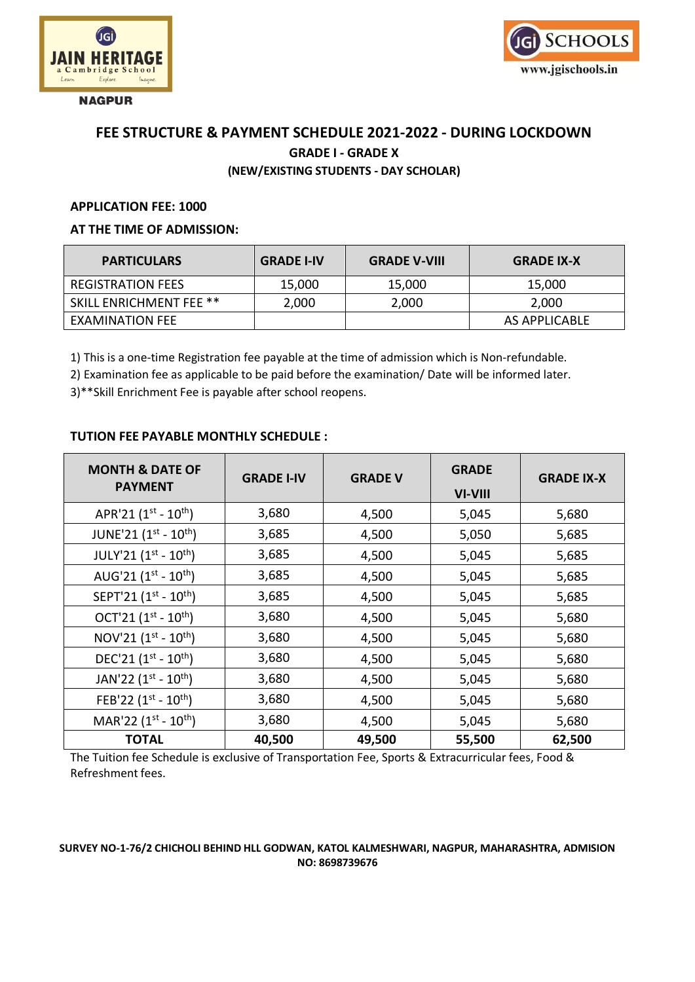

**NAGPUR** 



# **FEE STRUCTURE & PAYMENT SCHEDULE 2021-2022 - DURING LOCKDOWN GRADE I - GRADE X (NEW/EXISTING STUDENTS - DAY SCHOLAR)**

#### **APPLICATION FEE: 1000**

#### **AT THE TIME OF ADMISSION:**

| <b>PARTICULARS</b>             | <b>GRADE I-IV</b> | <b>GRADE V-VIII</b> | <b>GRADE IX-X</b> |
|--------------------------------|-------------------|---------------------|-------------------|
| <b>REGISTRATION FEES</b>       | 15,000            | 15,000              | 15,000            |
| <b>SKILL ENRICHMENT FEE **</b> | 2,000             | 2,000               | 2,000             |
| EXAMINATION FEE                |                   |                     | AS APPLICABLE     |

1) This is a one-time Registration fee payable at the time of admission which is Non-refundable.

2) Examination fee as applicable to be paid before the examination/ Date will be informed later.

3)\*\*Skill Enrichment Fee is payable after school reopens.

### **TUTION FEE PAYABLE MONTHLY SCHEDULE :**

| <b>MONTH &amp; DATE OF</b><br><b>PAYMENT</b> | <b>GRADE I-IV</b> | <b>GRADE V</b> | <b>GRADE</b><br>VI-VIII | <b>GRADE IX-X</b> |
|----------------------------------------------|-------------------|----------------|-------------------------|-------------------|
| APR'21 $(1^{st} - 10^{th})$                  | 3,680             | 4,500          | 5,045                   | 5,680             |
| JUNE'21 (1st - 10th)                         | 3,685             | 4,500          | 5,050                   | 5,685             |
| JULY'21 (1st - 10th)                         | 3,685             | 4,500          | 5,045                   | 5,685             |
| AUG'21 $(1^{st} - 10^{th})$                  | 3,685             | 4,500          | 5,045                   | 5,685             |
| SEPT'21 (1st - 10th)                         | 3,685             | 4,500          | 5,045                   | 5,685             |
| OCT'21 $(1^{st} - 10^{th})$                  | 3,680             | 4,500          | 5,045                   | 5,680             |
| NOV'21 $(1^{st} - 10^{th})$                  | 3,680             | 4,500          | 5,045                   | 5,680             |
| DEC'21 $(1^{st} - 10^{th})$                  | 3,680             | 4,500          | 5,045                   | 5,680             |
| JAN'22 $(1^{st} - 10^{th})$                  | 3,680             | 4,500          | 5,045                   | 5,680             |
| FEB'22 $(1^{st} - 10^{th})$                  | 3,680             | 4,500          | 5,045                   | 5,680             |
| MAR'22 $(1^{st} - 10^{th})$                  | 3,680             | 4,500          | 5,045                   | 5,680             |
| <b>TOTAL</b>                                 | 40,500            | 49,500         | 55,500                  | 62,500            |

The Tuition fee Schedule is exclusive of Transportation Fee, Sports & Extracurricular fees, Food & Refreshment fees.

#### **SURVEY NO-1-76/2 CHICHOLI BEHIND HLL GODWAN, KATOL KALMESHWARI, NAGPUR, MAHARASHTRA, ADMISION NO: 8698739676**